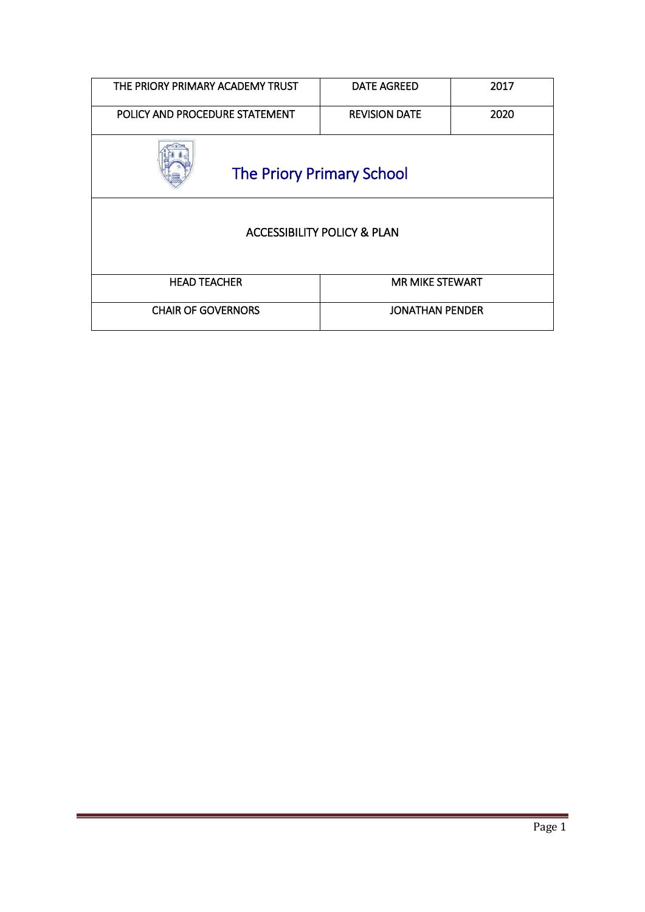| THE PRIORY PRIMARY ACADEMY TRUST       | <b>DATE AGREED</b>     | 2017 |  |
|----------------------------------------|------------------------|------|--|
| POLICY AND PROCEDURE STATEMENT         | <b>REVISION DATE</b>   | 2020 |  |
| <b>The Priory Primary School</b>       |                        |      |  |
| <b>ACCESSIBILITY POLICY &amp; PLAN</b> |                        |      |  |
| <b>HEAD TEACHER</b>                    | <b>MR MIKE STEWART</b> |      |  |
| <b>CHAIR OF GOVERNORS</b>              | <b>JONATHAN PENDER</b> |      |  |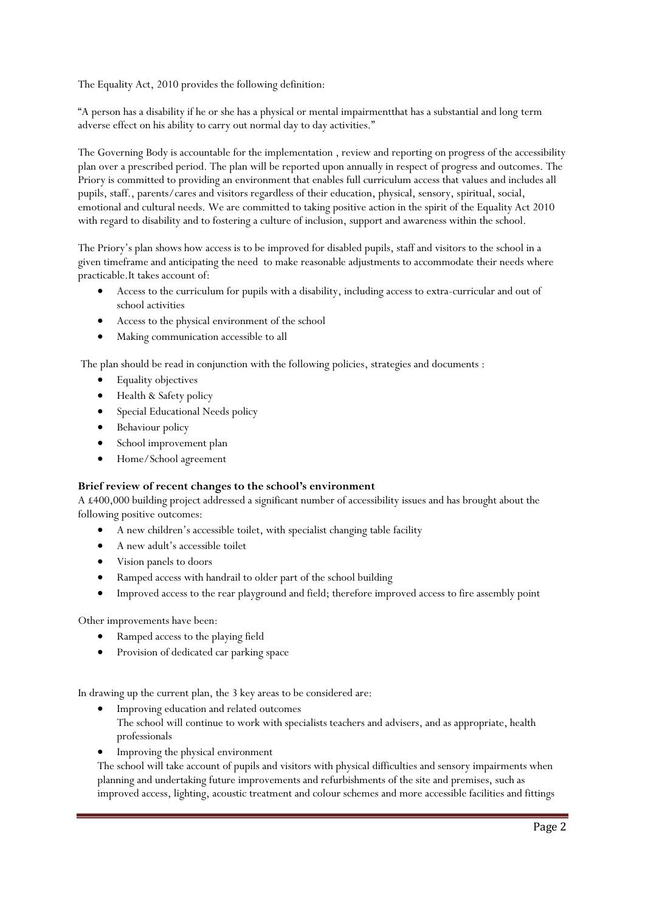The Equality Act, 2010 provides the following definition:

"A person has a disability if he or she has a physical or mental impairmentthat has a substantial and long term adverse effect on his ability to carry out normal day to day activities."

The Governing Body is accountable for the implementation , review and reporting on progress of the accessibility plan over a prescribed period. The plan will be reported upon annually in respect of progress and outcomes. The Priory is committed to providing an environment that enables full curriculum access that values and includes all pupils, staff., parents/cares and visitors regardless of their education, physical, sensory, spiritual, social, emotional and cultural needs. We are committed to taking positive action in the spirit of the Equality Act 2010 with regard to disability and to fostering a culture of inclusion, support and awareness within the school.

The Priory's plan shows how access is to be improved for disabled pupils, staff and visitors to the school in a given timeframe and anticipating the need to make reasonable adjustments to accommodate their needs where practicable.It takes account of:

- Access to the curriculum for pupils with a disability, including access to extra-curricular and out of school activities
- Access to the physical environment of the school
- Making communication accessible to all

The plan should be read in conjunction with the following policies, strategies and documents :

- Equality objectives
- Health & Safety policy
- **•** Special Educational Needs policy
- Behaviour policy
- School improvement plan
- Home/School agreement

## **Brief review of recent changes to the school's environment**

A £400,000 building project addressed a significant number of accessibility issues and has brought about the following positive outcomes:

- A new children's accessible toilet, with specialist changing table facility
- A new adult's accessible toilet
- Vision panels to doors
- Ramped access with handrail to older part of the school building
- Improved access to the rear playground and field; therefore improved access to fire assembly point

Other improvements have been:

- Ramped access to the playing field
- Provision of dedicated car parking space

In drawing up the current plan, the 3 key areas to be considered are:

- Improving education and related outcomes
	- The school will continue to work with specialists teachers and advisers, and as appropriate, health professionals
- Improving the physical environment

The school will take account of pupils and visitors with physical difficulties and sensory impairments when planning and undertaking future improvements and refurbishments of the site and premises, such as improved access, lighting, acoustic treatment and colour schemes and more accessible facilities and fittings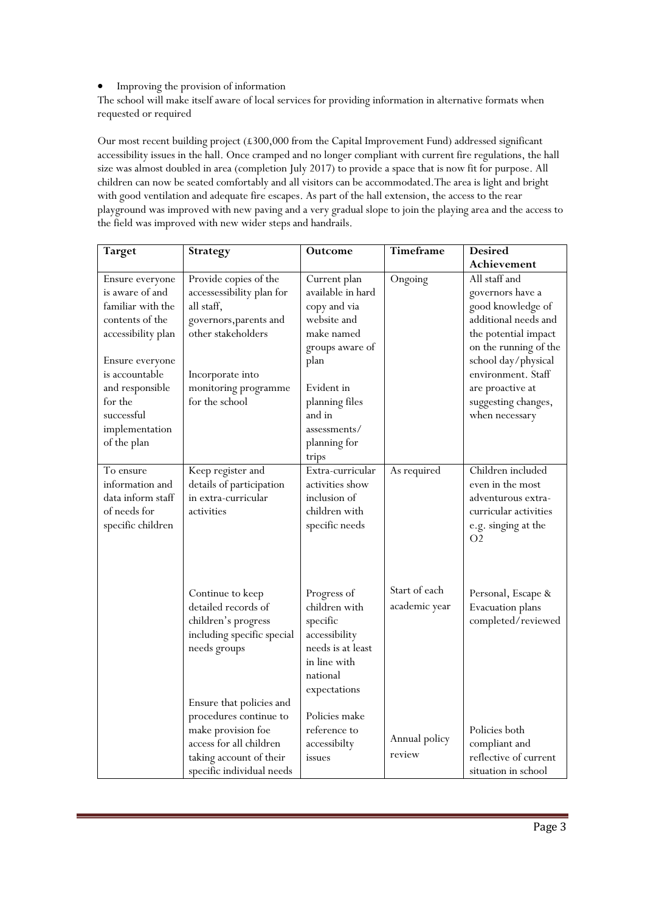## Improving the provision of information

The school will make itself aware of local services for providing information in alternative formats when requested or required

Our most recent building project (£300,000 from the Capital Improvement Fund) addressed significant accessibility issues in the hall. Once cramped and no longer compliant with current fire regulations, the hall size was almost doubled in area (completion July 2017) to provide a space that is now fit for purpose. All children can now be seated comfortably and all visitors can be accommodated.The area is light and bright with good ventilation and adequate fire escapes. As part of the hall extension, the access to the rear playground was improved with new paving and a very gradual slope to join the playing area and the access to the field was improved with new wider steps and handrails.

| <b>Target</b>                                                                                                                                                                                                      | <b>Strategy</b>                                                                                                                                                                | Outcome                                                                                                                                                                                      | Timeframe                      | <b>Desired</b>                                                                                                                                                                                                                            |
|--------------------------------------------------------------------------------------------------------------------------------------------------------------------------------------------------------------------|--------------------------------------------------------------------------------------------------------------------------------------------------------------------------------|----------------------------------------------------------------------------------------------------------------------------------------------------------------------------------------------|--------------------------------|-------------------------------------------------------------------------------------------------------------------------------------------------------------------------------------------------------------------------------------------|
|                                                                                                                                                                                                                    |                                                                                                                                                                                |                                                                                                                                                                                              |                                | Achievement                                                                                                                                                                                                                               |
| Ensure everyone<br>is aware of and<br>familiar with the<br>contents of the<br>accessibility plan<br>Ensure everyone<br>is accountable<br>and responsible<br>for the<br>successful<br>implementation<br>of the plan | Provide copies of the<br>accessessibility plan for<br>all staff,<br>governors, parents and<br>other stakeholders<br>Incorporate into<br>monitoring programme<br>for the school | Current plan<br>available in hard<br>copy and via<br>website and<br>make named<br>groups aware of<br>plan<br>Evident in<br>planning files<br>and in<br>assessments/<br>planning for<br>trips | Ongoing                        | All staff and<br>governors have a<br>good knowledge of<br>additional needs and<br>the potential impact<br>on the running of the<br>school day/physical<br>environment. Staff<br>are proactive at<br>suggesting changes,<br>when necessary |
| To ensure<br>information and<br>data inform staff<br>of needs for<br>specific children                                                                                                                             | Keep register and<br>details of participation<br>in extra-curricular<br>activities                                                                                             | Extra-curricular<br>activities show<br>inclusion of<br>children with<br>specific needs                                                                                                       | As required                    | Children included<br>even in the most<br>adventurous extra-<br>curricular activities<br>e.g. singing at the<br>O <sub>2</sub>                                                                                                             |
|                                                                                                                                                                                                                    | Continue to keep<br>detailed records of<br>children's progress<br>including specific special<br>needs groups                                                                   | Progress of<br>children with<br>specific<br>accessibility<br>needs is at least<br>in line with<br>national<br>expectations                                                                   | Start of each<br>academic year | Personal, Escape &<br>Evacuation plans<br>completed/reviewed                                                                                                                                                                              |
|                                                                                                                                                                                                                    | Ensure that policies and<br>procedures continue to<br>make provision foe<br>access for all children<br>taking account of their<br>specific individual needs                    | Policies make<br>reference to<br>accessibilty<br>issues                                                                                                                                      | Annual policy<br>review        | Policies both<br>compliant and<br>reflective of current<br>situation in school                                                                                                                                                            |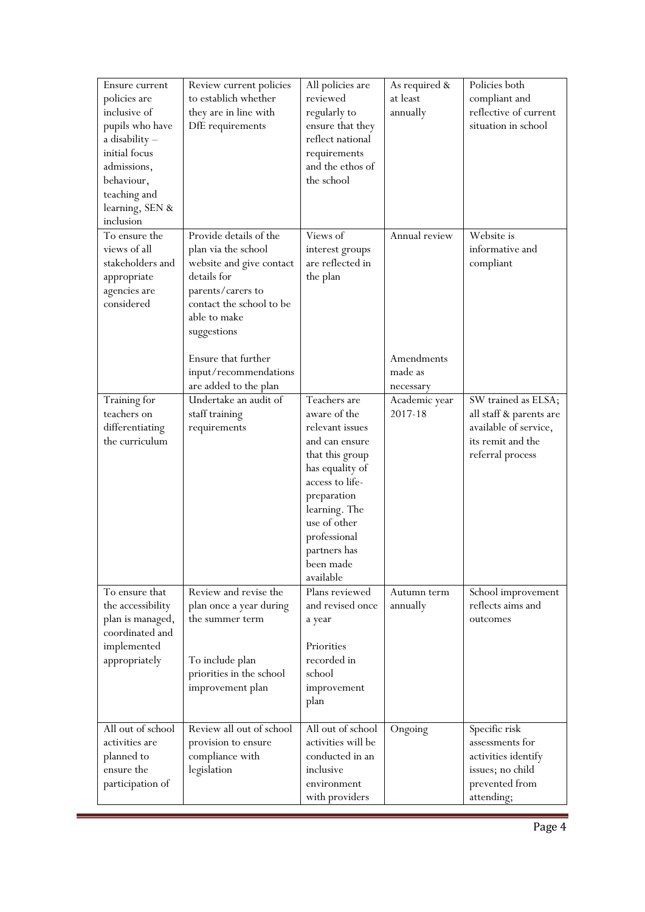| Ensure current<br>policies are<br>inclusive of<br>pupils who have<br>a disability -<br>initial focus<br>admissions,<br>behaviour,<br>teaching and<br>learning, SEN &<br>inclusion | Review current policies<br>to establich whether<br>they are in line with<br>DfE requirements                                                                                                    | All policies are<br>reviewed<br>regularly to<br>ensure that they<br>reflect national<br>requirements<br>and the ethos of<br>the school                                                                                               | As required &<br>at least<br>annually | Policies both<br>compliant and<br>reflective of current<br>situation in school                                   |
|-----------------------------------------------------------------------------------------------------------------------------------------------------------------------------------|-------------------------------------------------------------------------------------------------------------------------------------------------------------------------------------------------|--------------------------------------------------------------------------------------------------------------------------------------------------------------------------------------------------------------------------------------|---------------------------------------|------------------------------------------------------------------------------------------------------------------|
| To ensure the<br>views of all<br>stakeholders and<br>appropriate<br>agencies are<br>considered                                                                                    | Provide details of the<br>plan via the school<br>website and give contact<br>details for<br>parents/carers to<br>contact the school to be<br>able to make<br>suggestions<br>Ensure that further | Views of<br>interest groups<br>are reflected in<br>the plan                                                                                                                                                                          | Annual review<br>Amendments           | Website is<br>informative and<br>compliant                                                                       |
|                                                                                                                                                                                   | input/recommendations<br>are added to the plan                                                                                                                                                  |                                                                                                                                                                                                                                      | made as<br>necessary                  |                                                                                                                  |
| Training for<br>teachers on<br>differentiating<br>the curriculum                                                                                                                  | Undertake an audit of<br>staff training<br>requirements                                                                                                                                         | Teachers are<br>aware of the<br>relevant issues<br>and can ensure<br>that this group<br>has equality of<br>access to life-<br>preparation<br>learning. The<br>use of other<br>professional<br>partners has<br>been made<br>available | Academic year<br>2017-18              | SW trained as ELSA;<br>all staff & parents are<br>available of service,<br>its remit and the<br>referral process |
| To ensure that<br>the accessibility<br>plan is managed,<br>coordinated and<br>implemented<br>appropriately                                                                        | Review and revise the<br>plan once a year during<br>the summer term<br>To include plan<br>priorities in the school<br>improvement plan                                                          | Plans reviewed<br>and revised once<br>a year<br>Priorities<br>recorded in<br>school<br>improvement<br>plan                                                                                                                           | Autumn term<br>annually               | School improvement<br>reflects aims and<br>outcomes                                                              |
| All out of school<br>activities are<br>planned to<br>ensure the<br>participation of                                                                                               | Review all out of school<br>provision to ensure<br>compliance with<br>legislation                                                                                                               | All out of school<br>activities will be<br>conducted in an<br>inclusive<br>environment<br>with providers                                                                                                                             | Ongoing                               | Specific risk<br>assessments for<br>activities identify<br>issues; no child<br>prevented from<br>attending;      |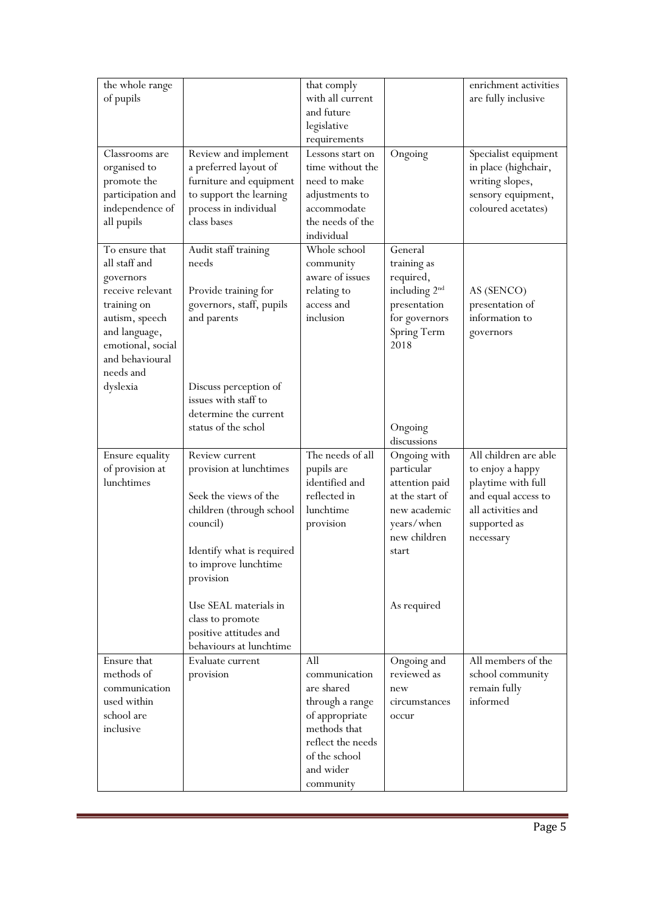| the whole range<br>of pupils                                                                                                                                            |                                                                                                                                                                                                       | that comply<br>with all current<br>and future<br>legislative<br>requirements                                                                            |                                                                                                                                       | enrichment activities<br>are fully inclusive                                                                                              |
|-------------------------------------------------------------------------------------------------------------------------------------------------------------------------|-------------------------------------------------------------------------------------------------------------------------------------------------------------------------------------------------------|---------------------------------------------------------------------------------------------------------------------------------------------------------|---------------------------------------------------------------------------------------------------------------------------------------|-------------------------------------------------------------------------------------------------------------------------------------------|
| Classrooms are<br>organised to<br>promote the<br>participation and<br>independence of<br>all pupils                                                                     | Review and implement<br>a preferred layout of<br>furniture and equipment<br>to support the learning<br>process in individual<br>class bases                                                           | Lessons start on<br>time without the<br>need to make<br>adjustments to<br>accommodate<br>the needs of the<br>individual                                 | Ongoing                                                                                                                               | Specialist equipment<br>in place (highchair,<br>writing slopes,<br>sensory equipment,<br>coloured acetates)                               |
| To ensure that<br>all staff and<br>governors<br>receive relevant<br>training on<br>autism, speech<br>and language,<br>emotional, social<br>and behavioural<br>needs and | Audit staff training<br>needs<br>Provide training for<br>governors, staff, pupils<br>and parents                                                                                                      | Whole school<br>community<br>aware of issues<br>relating to<br>access and<br>inclusion                                                                  | General<br>training as<br>required,<br>including 2 <sup>nd</sup><br>presentation<br>for governors<br>Spring Term<br>2018              | AS (SENCO)<br>presentation of<br>information to<br>governors                                                                              |
| dyslexia                                                                                                                                                                | Discuss perception of<br>issues with staff to<br>determine the current<br>status of the schol                                                                                                         |                                                                                                                                                         | Ongoing<br>discussions                                                                                                                |                                                                                                                                           |
| Ensure equality<br>of provision at<br>lunchtimes                                                                                                                        | Review current<br>provision at lunchtimes<br>Seek the views of the<br>children (through school<br>council)<br>Identify what is required<br>to improve lunchtime<br>provision<br>Use SEAL materials in | The needs of all<br>pupils are<br>identified and<br>reflected in<br>lunchtime<br>provision                                                              | Ongoing with<br>particular<br>attention paid<br>at the start of<br>new academic<br>years/when<br>new children<br>start<br>As required | All children are able<br>to enjoy a happy<br>playtime with full<br>and equal access to<br>all activities and<br>supported as<br>necessary |
|                                                                                                                                                                         | class to promote<br>positive attitudes and<br>behaviours at lunchtime                                                                                                                                 |                                                                                                                                                         |                                                                                                                                       |                                                                                                                                           |
| Ensure that<br>methods of<br>communication<br>used within<br>school are<br>inclusive                                                                                    | Evaluate current<br>provision                                                                                                                                                                         | All<br>communication<br>are shared<br>through a range<br>of appropriate<br>methods that<br>reflect the needs<br>of the school<br>and wider<br>community | Ongoing and<br>reviewed as<br>new<br>circumstances<br>occur                                                                           | All members of the<br>school community<br>remain fully<br>informed                                                                        |